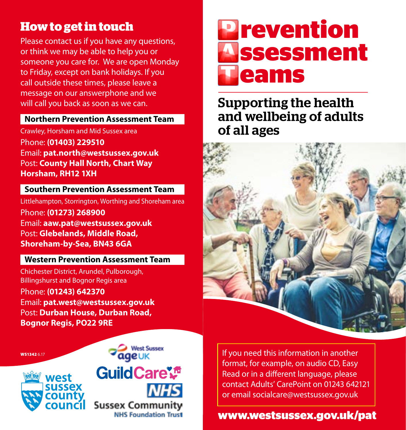# **How to get in touch**

Please contact us if you have any questions, or think we may be able to help you or someone you care for. We are open Monday to Friday, except on bank holidays. If you call outside these times, please leave a message on our answerphone and we will call you back as soon as we can.

### **Northern Prevention Assessment Team**

Crawley, Horsham and Mid Sussex area Phone: **(01403) 229510** Email: **pat.north@westsussex.gov.uk** Post: **County Hall North, Chart Way Horsham, RH12 1XH**

#### **Southern Prevention Assessment Team**

Littlehampton, Storrington, Worthing and Shoreham area Phone: **(01273) 268900** Email: **aaw.pat@westsussex.gov.uk** Post: **Glebelands, Middle Road, Shoreham-by-Sea, BN43 6GA**

### **Western Prevention Assessment Team**

Chichester District, Arundel, Pulborough, Billingshurst and Bognor Regis area Phone: **(01243) 642370** Email: **pat.west@westsussex.gov.uk** Post: **Durban House, Durban Road, Bognor Regis, PO22 9RE**

WS1342 6.17



#### **Vest Sussex** ageuk

**GuildCare<sup>ve</sup> Sussex Community NHS Foundation Trust** 

**eams ssessment P revention A T**

## Supporting the health and wellbeing of adults of all ages



If you need this information in another format, for example, on audio CD, Easy Read or in a different language, please contact Adults' CarePoint on 01243 642121 or email socialcare@westsussex.gov.uk

## **www.westsussex.gov.uk/pat**